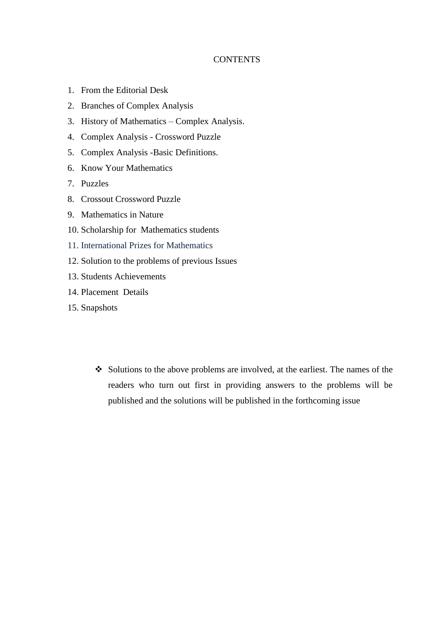## **CONTENTS**

- 1. From the Editorial Desk
- 2. Branches of Complex Analysis
- 3. History of Mathematics Complex Analysis.
- 4. Complex Analysis Crossword Puzzle
- 5. Complex Analysis -Basic Definitions.
- 6. Know Your Mathematics
- 7. Puzzles
- 8. Crossout Crossword Puzzle
- 9. Mathematics in Nature
- 10. Scholarship for Mathematics students
- 11. International Prizes for Mathematics
- 12. Solution to the problems of previous Issues
- 13. Students Achievements
- 14. Placement Details
- 15. Snapshots
	- ❖ Solutions to the above problems are involved, at the earliest. The names of the readers who turn out first in providing answers to the problems will be published and the solutions will be published in the forthcoming issue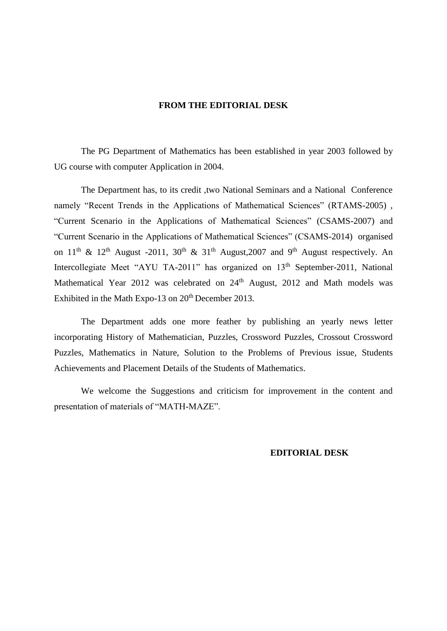#### **FROM THE EDITORIAL DESK**

The PG Department of Mathematics has been established in year 2003 followed by UG course with computer Application in 2004.

The Department has, to its credit ,two National Seminars and a National Conference namely "Recent Trends in the Applications of Mathematical Sciences" (RTAMS-2005) , "Current Scenario in the Applications of Mathematical Sciences" (CSAMS-2007) and "Current Scenario in the Applications of Mathematical Sciences" (CSAMS-2014) organised on  $11<sup>th</sup>$  &  $12<sup>th</sup>$  August -2011,  $30<sup>th</sup>$  &  $31<sup>th</sup>$  August,2007 and  $9<sup>th</sup>$  August respectively. An Intercollegiate Meet "AYU TA-2011" has organized on 13<sup>th</sup> September-2011, National Mathematical Year 2012 was celebrated on 24<sup>th</sup> August, 2012 and Math models was Exhibited in the Math Expo-13 on 20<sup>th</sup> December 2013.

The Department adds one more feather by publishing an yearly news letter incorporating History of Mathematician, Puzzles, Crossword Puzzles, Crossout Crossword Puzzles, Mathematics in Nature, Solution to the Problems of Previous issue, Students Achievements and Placement Details of the Students of Mathematics.

We welcome the Suggestions and criticism for improvement in the content and presentation of materials of "MATH-MAZE".

#### **EDITORIAL DESK**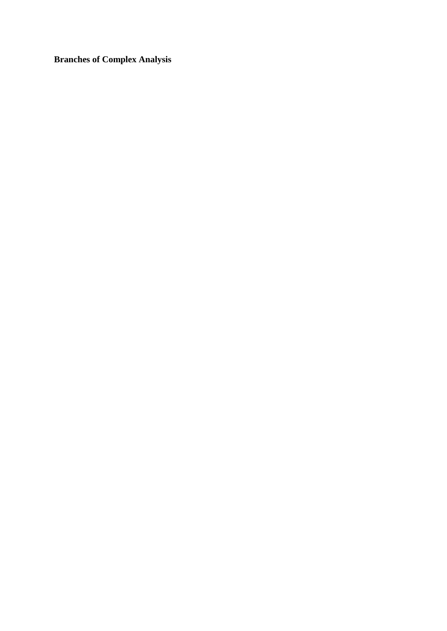**Branches of Complex Analysis**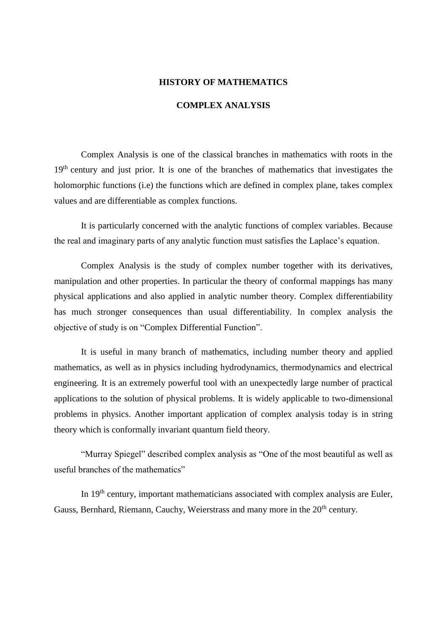#### **HISTORY OF MATHEMATICS**

## **COMPLEX ANALYSIS**

Complex Analysis is one of the classical branches in mathematics with roots in the 19<sup>th</sup> century and just prior. It is one of the branches of mathematics that investigates the holomorphic functions (i.e) the functions which are defined in complex plane, takes complex values and are differentiable as complex functions.

It is particularly concerned with the analytic functions of complex variables. Because the real and imaginary parts of any analytic function must satisfies the Laplace's equation.

Complex Analysis is the study of complex number together with its derivatives, manipulation and other properties. In particular the theory of conformal mappings has many physical applications and also applied in analytic number theory. Complex differentiability has much stronger consequences than usual differentiability. In complex analysis the objective of study is on "Complex Differential Function".

It is useful in many branch of mathematics, including number theory and applied mathematics, as well as in physics including hydrodynamics, thermodynamics and electrical engineering. It is an extremely powerful tool with an unexpectedly large number of practical applications to the solution of physical problems. It is widely applicable to two-dimensional problems in physics. Another important application of complex analysis today is in string theory which is conformally invariant quantum field theory.

"Murray Spiegel" described complex analysis as "One of the most beautiful as well as useful branches of the mathematics"

In  $19<sup>th</sup>$  century, important mathematicians associated with complex analysis are Euler, Gauss, Bernhard, Riemann, Cauchy, Weierstrass and many more in the  $20<sup>th</sup>$  century.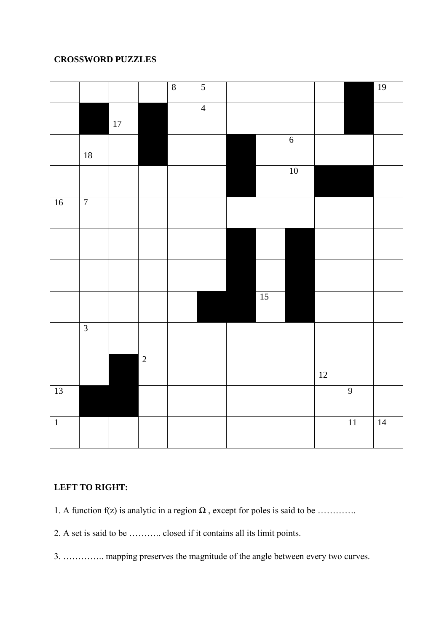# **CROSSWORD PUZZLES**

|                |                |        |                | $\sqrt{8}$ | $\overline{5}$ |                 |                |        |                 | 19              |
|----------------|----------------|--------|----------------|------------|----------------|-----------------|----------------|--------|-----------------|-----------------|
|                |                | $17\,$ |                |            | $\overline{4}$ |                 |                |        |                 |                 |
|                | $18\,$         |        |                |            |                |                 | $\overline{6}$ |        |                 |                 |
|                |                |        |                |            |                |                 | $10\,$         |        |                 |                 |
| $16$           | $\overline{7}$ |        |                |            |                |                 |                |        |                 |                 |
|                |                |        |                |            |                |                 |                |        |                 |                 |
|                |                |        |                |            |                |                 |                |        |                 |                 |
|                |                |        |                |            |                | $\overline{15}$ |                |        |                 |                 |
|                | $\overline{3}$ |        |                |            |                |                 |                |        |                 |                 |
|                |                |        | $\overline{2}$ |            |                |                 |                | $12\,$ |                 |                 |
| 13             |                |        |                |            |                |                 |                |        | $\overline{9}$  |                 |
| $\overline{1}$ |                |        |                |            |                |                 |                |        | $\overline{11}$ | $\overline{14}$ |

## **LEFT TO RIGHT:**

- 1. A function f(z) is analytic in a region  $\Omega$ , except for poles is said to be ............
- 2. A set is said to be ……….. closed if it contains all its limit points.
- 3. ………….. mapping preserves the magnitude of the angle between every two curves.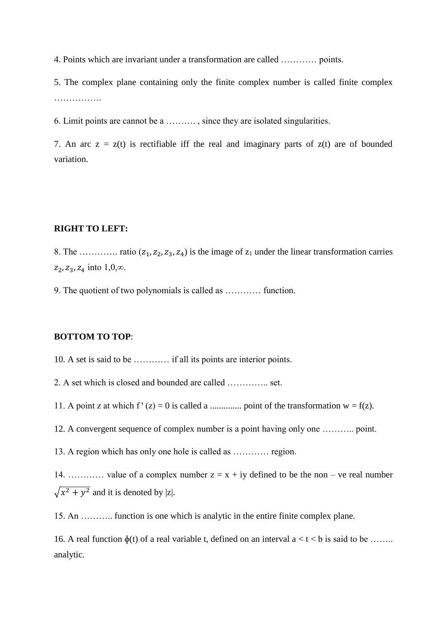4. Points which are invariant under a transformation are called ………… points.

5. The complex plane containing only the finite complex number is called finite complex …………….

6. Limit points are cannot be a ………. , since they are isolated singularities.

7. An arc  $z = z(t)$  is rectifiable iff the real and imaginary parts of  $z(t)$  are of bounded variation.

## **RIGHT TO LEFT:**

8. The …………. ratio  $(z_1, z_2, z_3, z_4)$  is the image of  $z_1$  under the linear transformation carries  $z_2, z_3, z_4$  into  $1,0, \infty$ .

9. The quotient of two polynomials is called as ………… function.

### **BOTTOM TO TOP**:

10. A set is said to be ………… if all its points are interior points.

2. A set which is closed and bounded are called ………….. set.

11. A point z at which  $f'(z) = 0$  is called a ................ point of the transformation  $w = f(z)$ .

12. A convergent sequence of complex number is a point having only one ……….. point.

13. A region which has only one hole is called as ………… region.

14. ………… value of a complex number  $z = x + iy$  defined to be the non – ve real number  $\sqrt{x^2 + y^2}$  and it is denoted by |z|.

15. An ……….. function is one which is analytic in the entire finite complex plane.

16. A real function  $\phi(t)$  of a real variable t, defined on an interval  $a < t < b$  is said to be ....... analytic.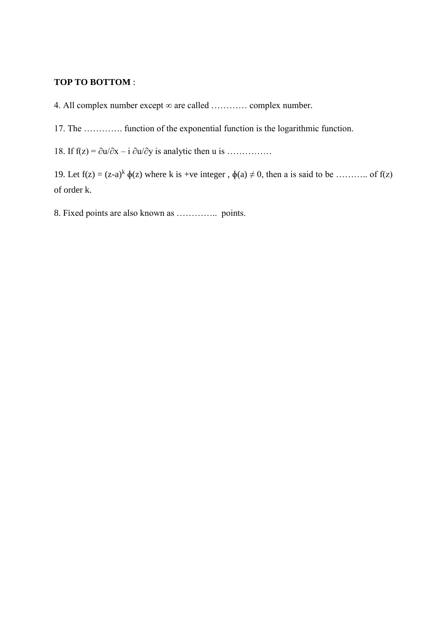## **TOP TO BOTTOM** :

4. All complex number except ∞ are called ………… complex number.

17. The …………. function of the exponential function is the logarithmic function.

18. If  $f(z) = \partial u / \partial x - i \partial u / \partial y$  is analytic then u is ……………

19. Let  $f(z) = (z-a)^k \phi(z)$  where k is +ve integer,  $\phi(a) \neq 0$ , then a is said to be ……….. of  $f(z)$ of order k.

8. Fixed points are also known as ………….. points.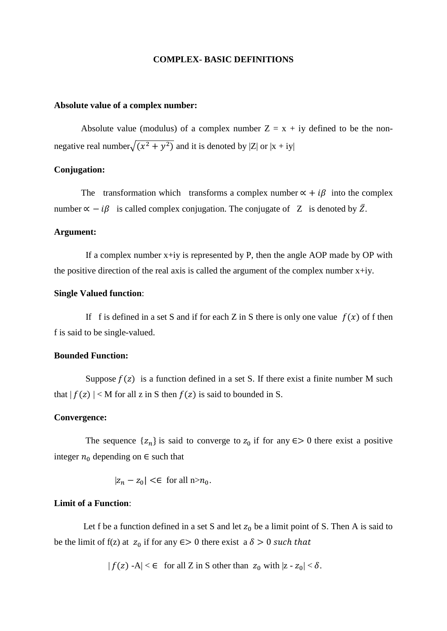#### **COMPLEX- BASIC DEFINITIONS**

#### **Absolute value of a complex number:**

Absolute value (modulus) of a complex number  $Z = x + iy$  defined to be the nonnegative real number $\sqrt{(x^2 + y^2)}$  and it is denoted by |Z| or  $|x + iy|$ 

### **Conjugation:**

The transformation which transforms a complex number  $\alpha + i\beta$  into the complex number  $\alpha - i\beta$  is called complex conjugation. The conjugate of Z is denoted by  $\overline{Z}$ .

#### **Argument:**

If a complex number  $x+iy$  is represented by P, then the angle AOP made by OP with the positive direction of the real axis is called the argument of the complex number  $x+iy$ .

#### **Single Valued function**:

If f is defined in a set S and if for each Z in S there is only one value  $f(x)$  of f then f is said to be single-valued.

#### **Bounded Function:**

Suppose  $f(z)$  is a function defined in a set S. If there exist a finite number M such that  $|f(z)| < M$  for all z in S then  $f(z)$  is said to bounded in S.

#### **Convergence:**

The sequence  $\{z_n\}$  is said to converge to  $z_0$  if for any  $\epsilon > 0$  there exist a positive integer  $n_0$  depending on  $\in$  such that

$$
|z_n - z_0| < \epsilon \quad \text{for all } n > n_0.
$$

#### **Limit of a Function**:

Let f be a function defined in a set S and let  $z_0$  be a limit point of S. Then A is said to be the limit of f(z) at  $z_0$  if for any  $\epsilon > 0$  there exist a  $\delta > 0$  such that

 $|f(z) - A| < \epsilon$  for all Z in S other than  $|z_0| \leq |z_0| < \delta$ .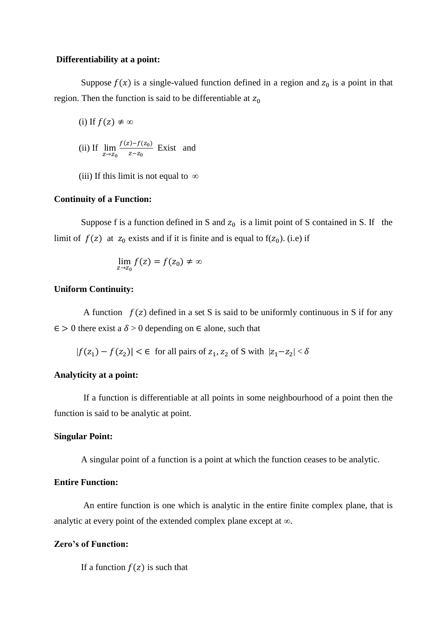#### **Differentiability at a point:**

Suppose  $f(x)$  is a single-valued function defined in a region and  $z_0$  is a point in that region. Then the function is said to be differentiable at  $z_0$ 

(i) If 
$$
f(z) \neq \infty
$$

(ii) If 
$$
\lim_{z \to z_0} \frac{f(z) - f(z_0)}{z - z_0}
$$
 Exist and

(iii) If this limit is not equal to *∞*

#### **Continuity of a Function:**

Suppose f is a function defined in S and  $z_0$  is a limit point of S contained in S. If the limit of  $f(z)$  at  $z_0$  exists and if it is finite and is equal to  $f(z_0)$ . (i.e) if

$$
\lim_{z\to z_0} f(z) = f(z_0) \neq \infty
$$

### **Uniform Continuity:**

A function  $f(z)$  defined in a set S is said to be uniformly continuous in S if for any  $\epsilon > 0$  there exist a  $\delta > 0$  depending on  $\epsilon$  alone, such that

$$
|f(z_1) - f(z_2)| < \epsilon \quad \text{for all pairs of } z_1, z_2 \text{ of } S \text{ with } |z_1 - z_2| < \delta
$$

#### **Analyticity at a point:**

If a function is differentiable at all points in some neighbourhood of a point then the function is said to be analytic at point.

#### **Singular Point:**

A singular point of a function is a point at which the function ceases to be analytic.

## **Entire Function:**

An entire function is one which is analytic in the entire finite complex plane, that is analytic at every point of the extended complex plane except at *∞*.

#### **Zero's of Function:**

If a function  $f(z)$  is such that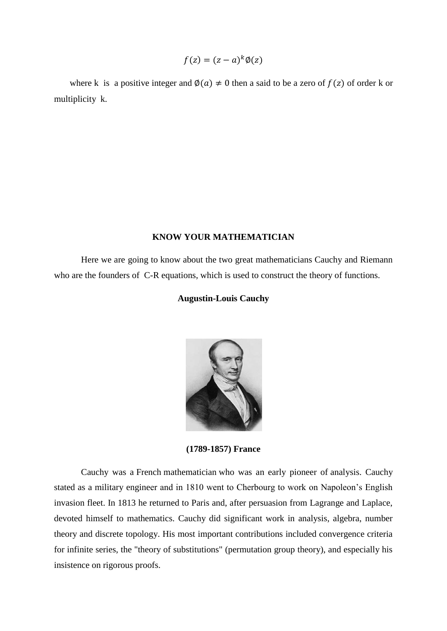$$
f(z) = (z - a)^k \phi(z)
$$

where k is a positive integer and  $\phi(a) \neq 0$  then a said to be a zero of  $f(z)$  of order k or multiplicity k.

## **KNOW YOUR MATHEMATICIAN**

Here we are going to know about the two great mathematicians Cauchy and Riemann who are the founders of C-R equations, which is used to construct the theory of functions.

#### **Augustin-Louis Cauchy**



**(1789-1857) France**

Cauchy was a [French](http://en.wikipedia.org/wiki/France) [mathematician](http://en.wikipedia.org/wiki/Mathematician) who was an early pioneer of [analysis.](http://en.wikipedia.org/wiki/Mathematical_analysis) Cauchy stated as a military engineer and in 1810 went to Cherbourg to work on Napoleon's English invasion fleet. In 1813 he returned to Paris and, after persuasion from Lagrange and Laplace, devoted himself to mathematics. Cauchy did significant work in analysis, algebra, number theory and discrete topology. His most important contributions included convergence criteria for infinite series, the "theory of substitutions" (permutation group theory), and especially his insistence on rigorous proofs.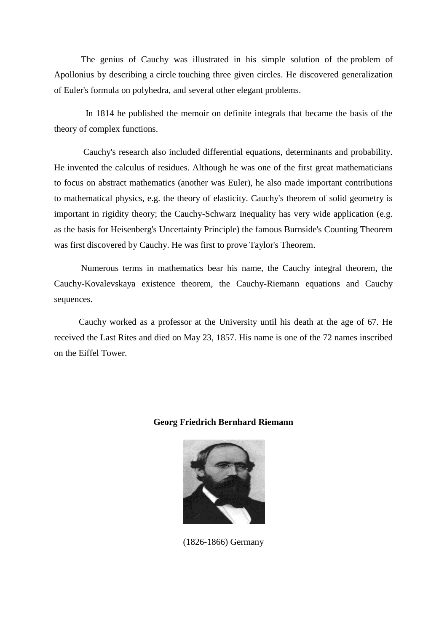The genius of Cauchy was illustrated in his simple solution of the [problem of](http://en.wikipedia.org/wiki/Problem_of_Apollonius)  [Apollonius](http://en.wikipedia.org/wiki/Problem_of_Apollonius) by describing a [circle](http://en.wikipedia.org/wiki/Circle) touching three given circles. He discovered generalization of [Euler's formula](http://en.wikipedia.org/wiki/Euler_characteristic) on [polyhedra,](http://en.wikipedia.org/wiki/Polyhedra) and several other elegant problems.

 In 1814 he published the memoir on definite integrals that became the basis of the theory of complex functions.

 Cauchy's research also included differential equations, determinants and probability. He invented the calculus of residues. Although he was one of the first great mathematicians to focus on abstract mathematics (another was Euler), he also made important contributions to mathematical physics, e.g. the theory of elasticity. Cauchy's theorem of solid geometry is important in rigidity theory; the Cauchy-Schwarz Inequality has very wide application (e.g. as the basis for Heisenberg's Uncertainty Principle) the famous Burnside's Counting Theorem was first discovered by Cauchy. He was first to prove Taylor's Theorem.

 Numerous terms in mathematics bear his name, the Cauchy integral theorem, the Cauchy-Kovalevskaya existence theorem, the Cauchy-Riemann equations and Cauchy sequences.

 Cauchy worked as a professor at the University until his death at the age of 67. He received the [Last Rites](http://en.wikipedia.org/wiki/Last_Rites) and died on May 23, 1857. His name is one of the [72 names inscribed](http://en.wikipedia.org/wiki/List_of_the_72_names_on_the_Eiffel_Tower)  [on the Eiffel Tower.](http://en.wikipedia.org/wiki/List_of_the_72_names_on_the_Eiffel_Tower)

## **Georg Friedrich Bernhard Riemann**



(1826-1866) Germany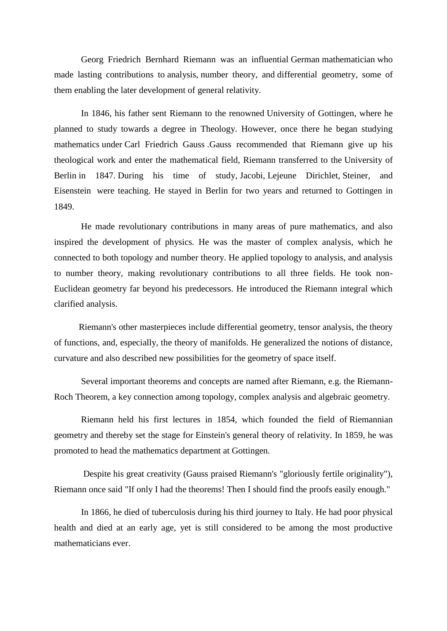Georg Friedrich Bernhard Riemann was an influential [German](http://en.wikipedia.org/wiki/Germany) [mathematician](http://en.wikipedia.org/wiki/Mathematics) who made lasting contributions to [analysis,](http://en.wikipedia.org/wiki/Mathematical_analysis) [number theory,](http://en.wikipedia.org/wiki/Number_theory) and [differential geometry,](http://en.wikipedia.org/wiki/Differential_geometry) some of them enabling the later development of [general relativity.](http://en.wikipedia.org/wiki/General_relativity)

 In 1846, his father sent Riemann to the renowned [University of Gottingen,](http://en.wikipedia.org/wiki/University_of_G%C3%B6ttingen) where he planned to study towards a degree in Theology. However, once there he began studying [mathematics](http://en.wikipedia.org/wiki/Mathematics) under [Carl Friedrich Gauss](http://en.wikipedia.org/wiki/Carl_Friedrich_Gauss) .Gauss recommended that Riemann give up his theological work and enter the mathematical field, Riemann transferred to the [University of](http://en.wikipedia.org/wiki/University_of_Berlin)  [Berlin](http://en.wikipedia.org/wiki/University_of_Berlin) in 1847. During his time of study, [Jacobi,](http://en.wikipedia.org/wiki/Carl_Gustav_Jakob_Jacobi) [Lejeune Dirichlet,](http://en.wikipedia.org/wiki/Peter_Gustav_Lejeune_Dirichlet) [Steiner,](http://en.wikipedia.org/wiki/Jakob_Steiner) and [Eisenstein](http://en.wikipedia.org/wiki/Ferdinand_Gotthold_Max_Eisenstein) were teaching. He stayed in Berlin for two years and returned to Gottingen in 1849.

 He made revolutionary contributions in many areas of pure mathematics, and also inspired the development of physics. He was the master of complex analysis, which he connected to both topology and number theory. He applied topology to analysis, and analysis to number theory, making revolutionary contributions to all three fields. He took non-Euclidean geometry far beyond his predecessors. He introduced the Riemann integral which clarified analysis.

 Riemann's other masterpieces include differential geometry, tensor analysis, the theory of functions, and, especially, the theory of manifolds. He generalized the notions of distance, curvature and also described new possibilities for the geometry of space itself.

 Several important theorems and concepts are named after Riemann, e.g. the Riemann-Roch Theorem, a key connection among topology, complex analysis and algebraic geometry.

Riemann held his first lectures in 1854, which founded the field of [Riemannian](http://en.wikipedia.org/wiki/Riemannian_geometry)  [geometry](http://en.wikipedia.org/wiki/Riemannian_geometry) and thereby set the stage for [Einstein'](http://en.wikipedia.org/wiki/Albert_Einstein)s [general theory of relativity.](http://en.wikipedia.org/wiki/General_theory_of_relativity) In 1859, he was promoted to head the mathematics department at Gottingen.

Despite his great creativity (Gauss praised Riemann's "gloriously fertile originality"), Riemann once said "If only I had the theorems! Then I should find the proofs easily enough."

In 1866, he died of [tuberculosis](http://en.wikipedia.org/wiki/Tuberculosis) during his third journey to [Italy.](http://en.wikipedia.org/wiki/Italy) He had poor physical health and died at an early age, yet is still considered to be among the most productive mathematicians ever.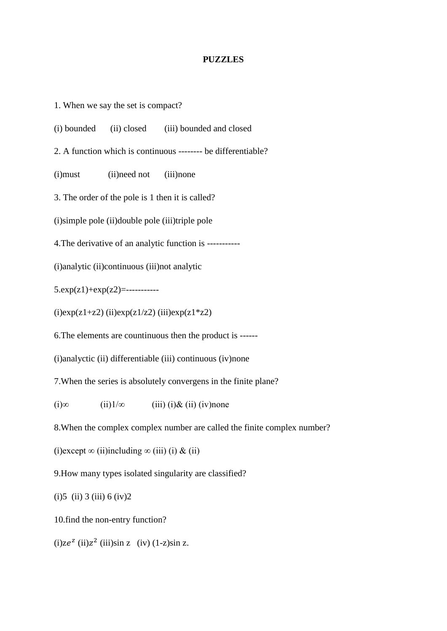#### **PUZZLES**

1. When we say the set is compact?

(i) bounded (ii) closed (iii) bounded and closed

2. A function which is continuous -------- be differentiable?

(i)must (ii)need not (iii)none

3. The order of the pole is 1 then it is called?

(i)simple pole (ii)double pole (iii)triple pole

4.The derivative of an analytic function is -----------

(i)analytic (ii)continuous (iii)not analytic

5.exp(z1)+exp(z2)=-----------

 $(i)exp(z1+z2)$   $(ii)exp(z1/z2)$   $(iii)exp(z1*z2)$ 

6.The elements are countinuous then the product is ------

(i)analyctic (ii) differentiable (iii) continuous (iv)none

7.When the series is absolutely convergens in the finite plane?

(i)∞ (ii)1/∞ (iii) (i)& (ii) (iv)none

8.When the complex complex number are called the finite complex number?

(i)except  $\infty$  (ii)including  $\infty$  (iii) (i) & (ii)

9.How many types isolated singularity are classified?

 $(i)5$  (ii) 3 (iii) 6 (iv) 2

10.find the non-entry function?

 $(i)$ z $e^{z}$   $(ii)$ z<sup>2</sup>  $(iii)$ sin z  $(iv)$   $(1-z)$ sin z.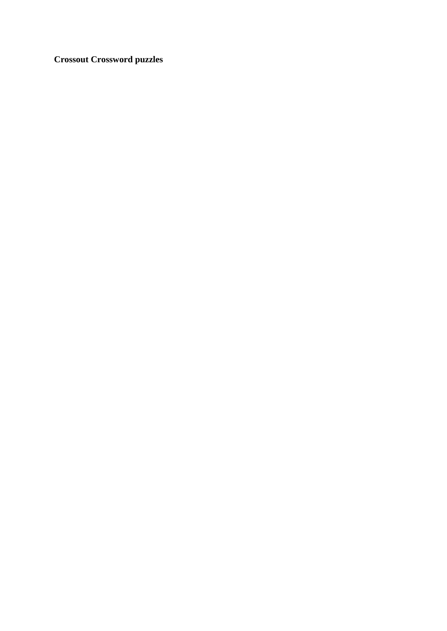**Crossout Crossword puzzles**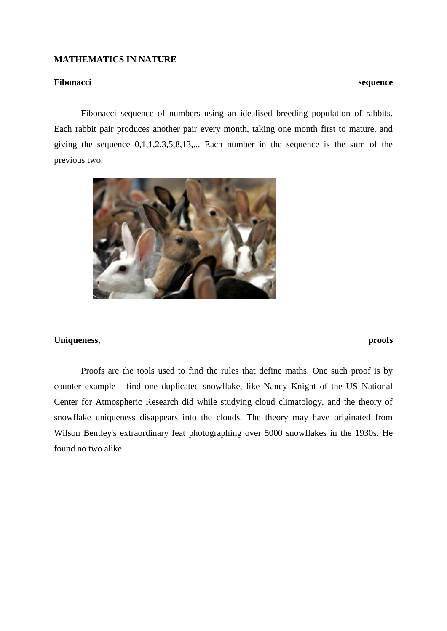#### **MATHEMATICS IN NATURE**

#### **Fibonacci sequence**

 Fibonacci sequence of numbers using an idealised breeding population of rabbits. Each rabbit pair produces another pair every month, taking one month first to mature, and giving the sequence  $0,1,1,2,3,5,8,13,...$  Each number in the sequence is the sum of the previous two.



## **Uniqueness, proofs**

Proofs are the tools used to find the rules that define maths. One such proof is by counter example - find one duplicated snowflake, like Nancy Knight of the US National Center for Atmospheric Research did while studying cloud climatology, and the theory of snowflake uniqueness disappears into the clouds. The theory may have originated from Wilson Bentley's extraordinary feat photographing over 5000 snowflakes in the 1930s. He found no two alike.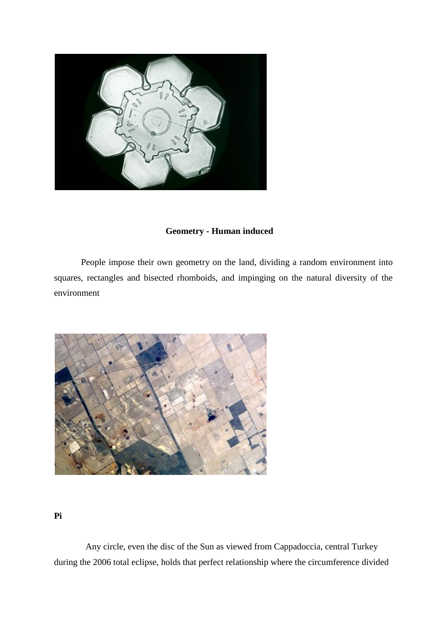

# **Geometry - Human induced**

 People impose their own geometry on the land, dividing a random environment into squares, rectangles and bisected rhomboids, and impinging on the natural diversity of the environment



**Pi**

 Any circle, even the disc of the Sun as viewed from Cappadoccia, central Turkey during the 2006 total eclipse, holds that perfect relationship where the circumference divided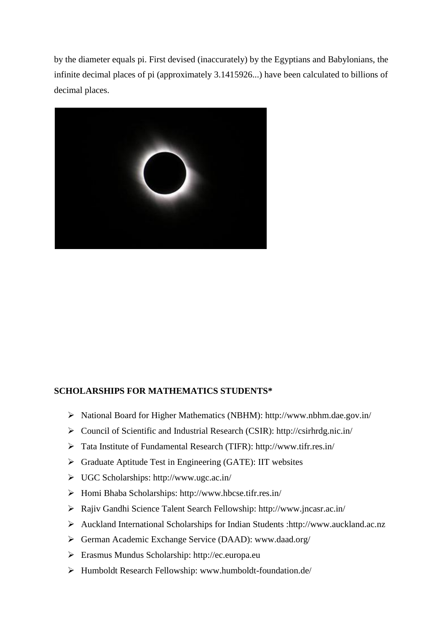by the diameter equals pi. First devised (inaccurately) by the Egyptians and Babylonians, the infinite decimal places of pi (approximately 3.1415926...) have been calculated to billions of decimal places.



## **SCHOLARSHIPS FOR MATHEMATICS STUDENTS\***

- ➢ National Board for Higher Mathematics (NBHM): http://www.nbhm.dae.gov.in/
- ➢ Council of Scientific and Industrial Research (CSIR): http://csirhrdg.nic.in/
- ➢ Tata Institute of Fundamental Research (TIFR): http://www.tifr.res.in/
- ➢ Graduate Aptitude Test in Engineering (GATE): IIT websites
- ➢ UGC Scholarships: http://www.ugc.ac.in/
- ➢ Homi Bhaba Scholarships: http://www.hbcse.tifr.res.in/
- ➢ Rajiv Gandhi Science Talent Search Fellowship: http://www.jncasr.ac.in/
- ➢ Auckland International Scholarships for Indian Students :http://www.auckland.ac.nz
- ➢ German Academic Exchange Service (DAAD): www.daad.org/
- ➢ Erasmus Mundus Scholarship: http://ec.europa.eu
- ➢ Humboldt Research Fellowship: www.humboldt-foundation.de/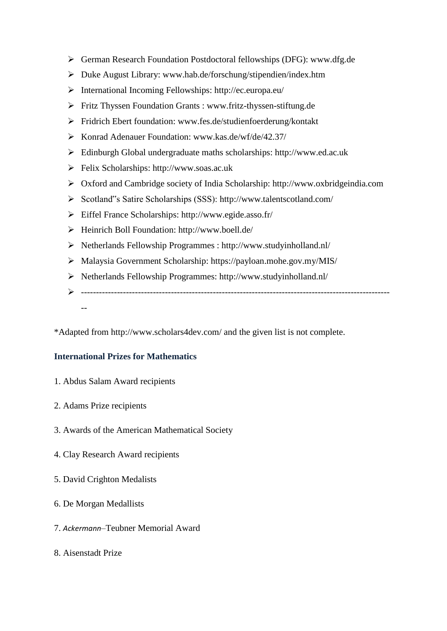- ➢ German Research Foundation Postdoctoral fellowships (DFG): www.dfg.de
- ➢ Duke August Library: www.hab.de/forschung/stipendien/index.htm
- ➢ International Incoming Fellowships: http://ec.europa.eu/
- ➢ Fritz Thyssen Foundation Grants : www.fritz-thyssen-stiftung.de
- ➢ Fridrich Ebert foundation: www.fes.de/studienfoerderung/kontakt
- ➢ Konrad Adenauer Foundation: www.kas.de/wf/de/42.37/
- ➢ Edinburgh Global undergraduate maths scholarships: http://www.ed.ac.uk
- ➢ Felix Scholarships: http://www.soas.ac.uk
- ➢ Oxford and Cambridge society of India Scholarship: http://www.oxbridgeindia.com
- ➢ Scotland"s Satire Scholarships (SSS): http://www.talentscotland.com/
- ➢ Eiffel France Scholarships: http://www.egide.asso.fr/
- ➢ Heinrich Boll Foundation: http://www.boell.de/
- ➢ Netherlands Fellowship Programmes : http://www.studyinholland.nl/
- ➢ Malaysia Government Scholarship: https://payloan.mohe.gov.my/MIS/
- ➢ Netherlands Fellowship Programmes: http://www.studyinholland.nl/
- ➢ ------------------------------------------------------------------------------------------------------- --

\*Adapted from http://www.scholars4dev.com/ and the given list is not complete.

## **International Prizes for Mathematics**

- 1. Abdus Salam Award recipients
- 2. Adams Prize recipients
- 3. Awards of the American Mathematical Society
- 4. Clay Research Award recipients
- 5. David Crighton Medalists
- 6. De Morgan Medallists
- 7. *Ackermann*–Teubner Memorial Award
- 8. Aisenstadt Prize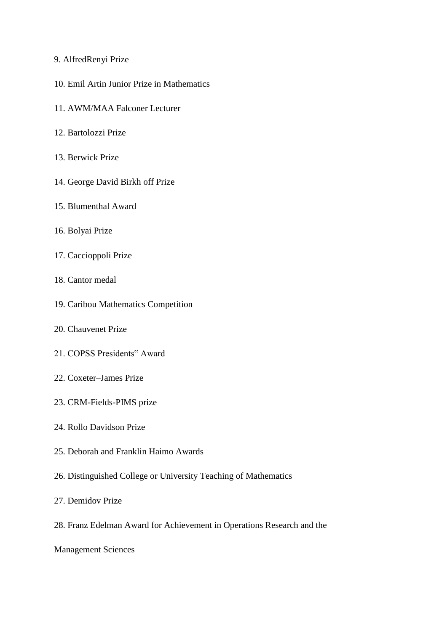- 9. AlfredRenyi Prize
- 10. Emil Artin Junior Prize in Mathematics
- 11. AWM/MAA Falconer Lecturer
- 12. Bartolozzi Prize
- 13. Berwick Prize
- 14. George David Birkh off Prize
- 15. Blumenthal Award
- 16. Bolyai Prize
- 17. Caccioppoli Prize
- 18. Cantor medal
- 19. Caribou Mathematics Competition
- 20. Chauvenet Prize
- 21. COPSS Presidents" Award
- 22. Coxeter–James Prize
- 23. CRM-Fields-PIMS prize
- 24. Rollo Davidson Prize
- 25. Deborah and Franklin Haimo Awards
- 26. Distinguished College or University Teaching of Mathematics
- 27. Demidov Prize
- 28. Franz Edelman Award for Achievement in Operations Research and the
- Management Sciences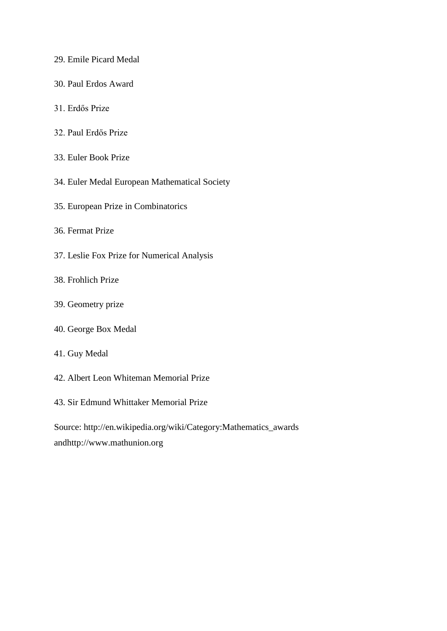- 29. Emile Picard Medal
- 30. Paul Erdos Award
- 31. Erdős Prize
- 32. Paul Erdős Prize
- 33. Euler Book Prize
- 34. Euler Medal European Mathematical Society
- 35. European Prize in Combinatorics
- 36. Fermat Prize
- 37. Leslie Fox Prize for Numerical Analysis
- 38. Frohlich Prize
- 39. Geometry prize
- 40. George Box Medal
- 41. Guy Medal
- 42. Albert Leon Whiteman Memorial Prize
- 43. Sir Edmund Whittaker Memorial Prize

Source: http://en.wikipedia.org/wiki/Category:Mathematics\_awards andhttp://www.mathunion.org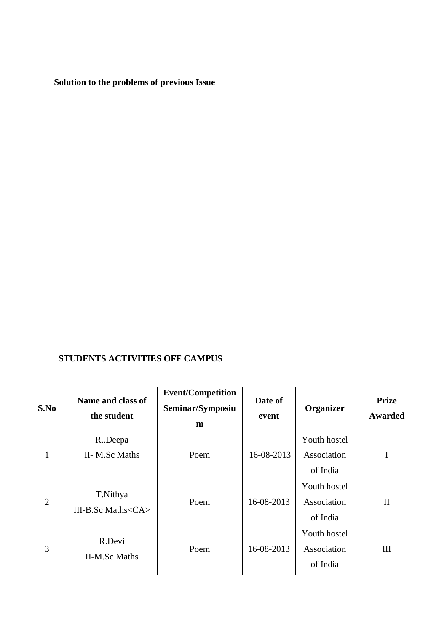**Solution to the problems of previous Issue**

# **STUDENTS ACTIVITIES OFF CAMPUS**

| S.No           | Name and class of<br>the student     | <b>Event/Competition</b><br>Seminar/Symposiu<br>$\mathbf{m}$ | Date of<br>event | <b>Organizer</b>                        | <b>Prize</b><br><b>Awarded</b> |
|----------------|--------------------------------------|--------------------------------------------------------------|------------------|-----------------------------------------|--------------------------------|
| 1              | R.Deepa<br>II- M.Sc Maths            | Poem                                                         | 16-08-2013       | Youth hostel<br>Association<br>of India | I                              |
| $\overline{2}$ | T.Nithya<br>III-B.Sc Maths <ca></ca> | Poem                                                         | 16-08-2013       | Youth hostel<br>Association<br>of India | $\mathbf{I}$                   |
| 3              | R.Devi<br><b>II-M.Sc Maths</b>       | Poem                                                         | 16-08-2013       | Youth hostel<br>Association<br>of India | Ш                              |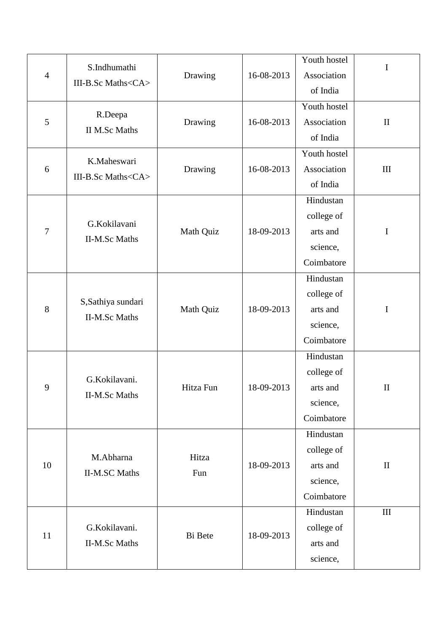|                | S.Indhumathi                               |           |            | Youth hostel | $\mathbf I$  |
|----------------|--------------------------------------------|-----------|------------|--------------|--------------|
| $\overline{4}$ | III-B.Sc Maths <ca></ca>                   | Drawing   | 16-08-2013 | Association  |              |
|                |                                            |           |            | of India     |              |
| $\mathfrak{S}$ |                                            |           |            | Youth hostel |              |
|                | R.Deepa<br><b>II M.Sc Maths</b>            | Drawing   | 16-08-2013 | Association  | $\mathbf{I}$ |
|                |                                            |           |            | of India     |              |
|                | K.Maheswari                                |           |            | Youth hostel |              |
| 6              | III-B.Sc Maths <ca></ca>                   | Drawing   | 16-08-2013 | Association  | $\rm III$    |
|                |                                            |           |            | of India     |              |
|                |                                            |           |            | Hindustan    |              |
|                | G.Kokilavani                               |           |            | college of   |              |
| $\tau$         | <b>II-M.Sc Maths</b>                       | Math Quiz | 18-09-2013 | arts and     | $\mathbf I$  |
|                |                                            |           |            | science,     |              |
|                |                                            |           |            | Coimbatore   |              |
|                |                                            |           |            | Hindustan    |              |
|                | S, Sathiya sundari<br><b>II-M.Sc Maths</b> | Math Quiz | 18-09-2013 | college of   |              |
| 8              |                                            |           |            | arts and     | $\bf I$      |
|                |                                            |           |            | science,     |              |
|                |                                            |           |            | Coimbatore   |              |
|                |                                            |           |            | Hindustan    |              |
|                | G.Kokilavani.<br><b>II-M.Sc Maths</b>      |           | 18-09-2013 | college of   |              |
| 9              |                                            | Hitza Fun |            | arts and     | $\rm II$     |
|                |                                            |           |            | science,     |              |
|                |                                            |           |            | Coimbatore   |              |
|                |                                            |           |            | Hindustan    |              |
|                | M.Abharna                                  | Hitza     |            | college of   |              |
| 10             | <b>II-M.SC Maths</b>                       | Fun       | 18-09-2013 | arts and     | $\rm II$     |
|                |                                            |           |            | science,     |              |
|                |                                            |           |            | Coimbatore   |              |
|                |                                            |           |            | Hindustan    | $\rm III$    |
| 11             | G.Kokilavani.                              |           | 18-09-2013 | college of   |              |
|                | <b>II-M.Sc Maths</b>                       | Bi Bete   |            | arts and     |              |
|                |                                            |           |            | science,     |              |
|                |                                            |           |            |              |              |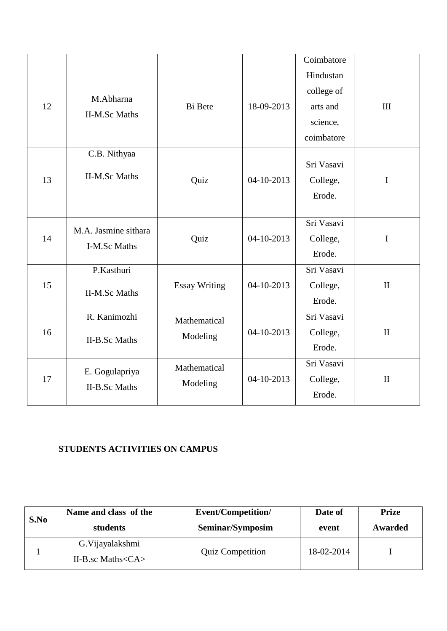|    |                                        |                          |            | Coimbatore                                                    |              |
|----|----------------------------------------|--------------------------|------------|---------------------------------------------------------------|--------------|
| 12 | M.Abharna<br><b>II-M.Sc Maths</b>      | <b>Bi</b> Bete           | 18-09-2013 | Hindustan<br>college of<br>arts and<br>science,<br>coimbatore | III          |
| 13 | C.B. Nithyaa<br><b>II-M.Sc Maths</b>   | Quiz                     | 04-10-2013 | Sri Vasavi<br>College,<br>Erode.                              | $\mathbf I$  |
| 14 | M.A. Jasmine sithara<br>I-M.Sc Maths   | Quiz                     | 04-10-2013 | Sri Vasavi<br>College,<br>Erode.                              | I            |
| 15 | P.Kasthuri<br><b>II-M.Sc Maths</b>     | <b>Essay Writing</b>     | 04-10-2013 | Sri Vasavi<br>College,<br>Erode.                              | $\mathbf{I}$ |
| 16 | R. Kanimozhi<br><b>II-B.Sc Maths</b>   | Mathematical<br>Modeling | 04-10-2013 | Sri Vasavi<br>College,<br>Erode.                              | $\rm II$     |
| 17 | E. Gogulapriya<br><b>II-B.Sc Maths</b> | Mathematical<br>Modeling | 04-10-2013 | Sri Vasavi<br>College,<br>Erode.                              | $\mathbf{I}$ |

# **STUDENTS ACTIVITIES ON CAMPUS**

| S.No | Name and class of the                                  | Event/Competition/      | Date of    | <b>Prize</b> |
|------|--------------------------------------------------------|-------------------------|------------|--------------|
|      | students                                               | Seminar/Symposim        | event      | Awarded      |
|      | G. Vijayalakshmi<br>II-B.sc Maths $\langle CA \rangle$ | <b>Quiz Competition</b> | 18-02-2014 |              |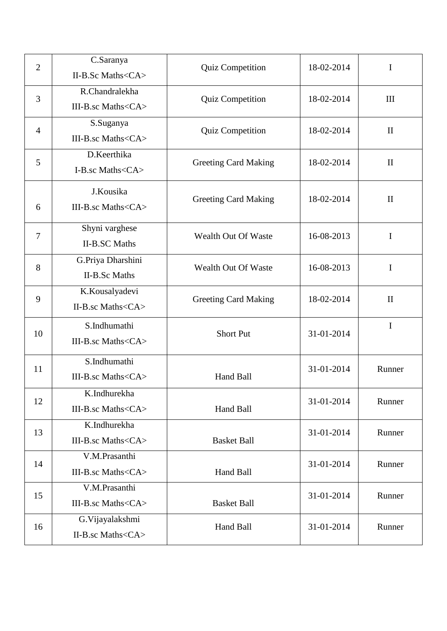| $\overline{2}$ | C.Saranya<br>II-B.Sc Maths <ca></ca>       | <b>Quiz Competition</b>     | 18-02-2014 | $\mathbf I$  |
|----------------|--------------------------------------------|-----------------------------|------------|--------------|
| 3              | R.Chandralekha<br>III-B.sc Maths <ca></ca> | Quiz Competition            | 18-02-2014 | III          |
| 4              | S.Suganya<br>III-B.sc Maths <ca></ca>      | <b>Quiz Competition</b>     | 18-02-2014 | $\mathbf{I}$ |
| 5              | D.Keerthika<br>I-B.sc Maths <ca></ca>      | <b>Greeting Card Making</b> | 18-02-2014 | $\mathbf{I}$ |
| 6              | J.Kousika<br>III-B.sc Maths <ca></ca>      | <b>Greeting Card Making</b> | 18-02-2014 | $\mathbf{I}$ |
| $\overline{7}$ | Shyni varghese<br><b>II-B.SC Maths</b>     | Wealth Out Of Waste         | 16-08-2013 | $\mathbf I$  |
| 8              | G.Priya Dharshini<br><b>II-B.Sc Maths</b>  | Wealth Out Of Waste         | 16-08-2013 | $\mathbf I$  |
| 9              | K.Kousalyadevi<br>II-B.sc Maths <ca></ca>  | <b>Greeting Card Making</b> | 18-02-2014 | $\mathbf{I}$ |
| 10             | S.Indhumathi<br>III-B.sc Maths <ca></ca>   | <b>Short Put</b>            | 31-01-2014 | $\mathbf I$  |
| 11             | S.Indhumathi<br>III-B.sc Maths <ca></ca>   | Hand Ball                   | 31-01-2014 | Runner       |
| 12             | K.Indhurekha<br>III-B.sc Maths <ca></ca>   | Hand Ball                   | 31-01-2014 | Runner       |
| 13             | K.Indhurekha<br>III-B.sc Maths <ca></ca>   | <b>Basket Ball</b>          | 31-01-2014 | Runner       |
| 14             | V.M.Prasanthi<br>III-B.sc Maths <ca></ca>  | Hand Ball                   | 31-01-2014 | Runner       |
| 15             | V.M.Prasanthi<br>III-B.sc Maths <ca></ca>  | <b>Basket Ball</b>          | 31-01-2014 | Runner       |
| 16             | G.Vijayalakshmi<br>II-B.sc Maths <ca></ca> | Hand Ball                   | 31-01-2014 | Runner       |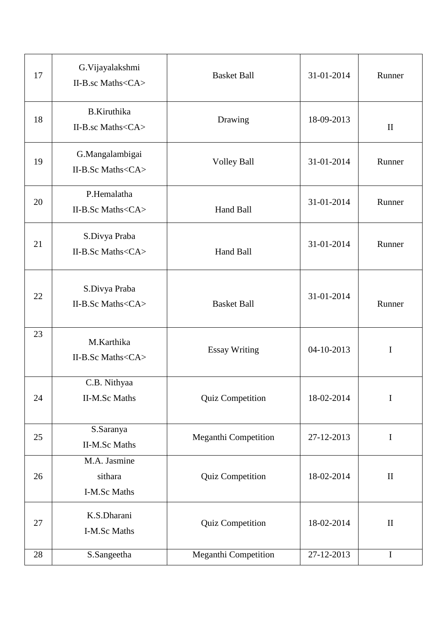| 17 | G.Vijayalakshmi<br>II-B.sc Maths <ca></ca>    | <b>Basket Ball</b>          | 31-01-2014 | Runner       |
|----|-----------------------------------------------|-----------------------------|------------|--------------|
| 18 | <b>B.Kiruthika</b><br>II-B.sc Maths <ca></ca> | Drawing                     | 18-09-2013 | $\mathbf{I}$ |
| 19 | G.Mangalambigai<br>II-B.Sc Maths <ca></ca>    | <b>Volley Ball</b>          | 31-01-2014 | Runner       |
| 20 | P.Hemalatha<br>II-B.Sc Maths <ca></ca>        | Hand Ball                   | 31-01-2014 | Runner       |
| 21 | S.Divya Praba<br>II-B.Sc Maths <ca></ca>      | Hand Ball                   | 31-01-2014 | Runner       |
| 22 | S.Divya Praba<br>II-B.Sc Maths <ca></ca>      | <b>Basket Ball</b>          | 31-01-2014 | Runner       |
| 23 | M.Karthika<br>II-B.Sc Maths <ca></ca>         | <b>Essay Writing</b>        | 04-10-2013 | $\bf I$      |
| 24 | C.B. Nithyaa<br><b>II-M.Sc Maths</b>          | Quiz Competition            | 18-02-2014 | I            |
| 25 | S.Saranya<br><b>II-M.Sc Maths</b>             | <b>Meganthi Competition</b> | 27-12-2013 | $\mathbf I$  |
| 26 | M.A. Jasmine<br>sithara<br>I-M.Sc Maths       | Quiz Competition            | 18-02-2014 | $\mathbf{I}$ |
| 27 | K.S.Dharani<br>I-M.Sc Maths                   | Quiz Competition            | 18-02-2014 | $\mathbf{I}$ |
| 28 | S.Sangeetha                                   | Meganthi Competition        | 27-12-2013 | $\mathbf I$  |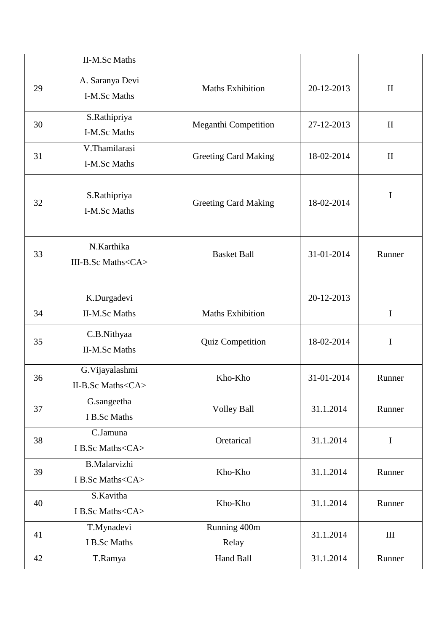|    | <b>II-M.Sc Maths</b>                          |                             |            |              |
|----|-----------------------------------------------|-----------------------------|------------|--------------|
| 29 | A. Saranya Devi<br>I-M.Sc Maths               | <b>Maths Exhibition</b>     | 20-12-2013 | $\mathbf{I}$ |
| 30 | S.Rathipriya<br>I-M.Sc Maths                  | Meganthi Competition        | 27-12-2013 | $\mathbf{I}$ |
| 31 | V.Thamilarasi<br>I-M.Sc Maths                 | <b>Greeting Card Making</b> | 18-02-2014 | $\mathbf{I}$ |
| 32 | S.Rathipriya<br>I-M.Sc Maths                  | <b>Greeting Card Making</b> | 18-02-2014 | $\bf I$      |
| 33 | N.Karthika<br>III-B.Sc Maths <ca></ca>        | <b>Basket Ball</b>          | 31-01-2014 | Runner       |
| 34 | K.Durgadevi<br><b>II-M.Sc Maths</b>           | <b>Maths Exhibition</b>     | 20-12-2013 | $\mathbf I$  |
| 35 | C.B.Nithyaa<br><b>II-M.Sc Maths</b>           | Quiz Competition            | 18-02-2014 | I            |
| 36 | G.Vijayalashmi<br>II-B.Sc Maths <ca></ca>     | Kho-Kho                     | 31-01-2014 | Runner       |
| 37 | G.sangeetha<br>I B.Sc Maths                   | <b>Volley Ball</b>          | 31.1.2014  | Runner       |
| 38 | C.Jamuna<br>I B.Sc Maths <ca></ca>            | Oretarical                  | 31.1.2014  | $\mathbf I$  |
| 39 | <b>B.Malarvizhi</b><br>I B.Sc Maths <ca></ca> | Kho-Kho                     | 31.1.2014  | Runner       |
| 40 | S.Kavitha<br>I B.Sc Maths <ca></ca>           | Kho-Kho                     | 31.1.2014  | Runner       |
| 41 | T.Mynadevi<br>I B.Sc Maths                    | Running 400m<br>Relay       | 31.1.2014  | $\rm III$    |
| 42 | T.Ramya                                       | Hand Ball                   | 31.1.2014  | Runner       |